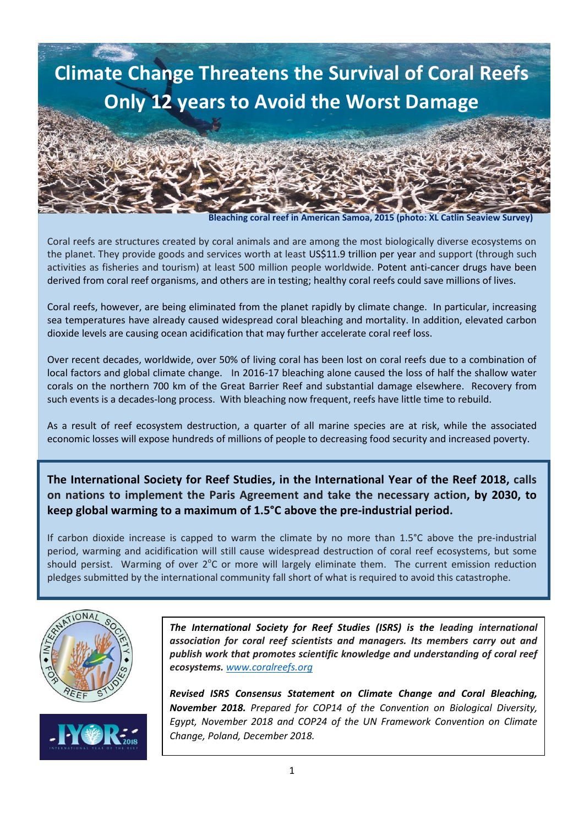

 **Bleaching coral reef in American Samoa, 2015 (photo: XL Catlin Seaview Survey)**

Coral reefs are structures created by coral animals and are among the most biologically diverse ecosystems on the planet. They provide goods and services worth at least US\$11.9 trillion per year and support (through such activities as fisheries and tourism) at least 500 million people worldwide. Potent anti-cancer drugs have been derived from coral reef organisms, and others are in testing; healthy coral reefs could save millions of lives.

Coral reefs, however, are being eliminated from the planet rapidly by climate change. In particular, increasing sea temperatures have already caused widespread coral bleaching and mortality. In addition, elevated carbon dioxide levels are causing ocean acidification that may further accelerate coral reef loss.

Over recent decades, worldwide, over 50% of living coral has been lost on coral reefs due to a combination of local factors and global climate change. In 2016-17 bleaching alone caused the loss of half the shallow water corals on the northern 700 km of the Great Barrier Reef and substantial damage elsewhere. Recovery from such events is a decades-long process. With bleaching now frequent, reefs have little time to rebuild.

As a result of reef ecosystem destruction, a quarter of all marine species are at risk, while the associated economic losses will expose hundreds of millions of people to decreasing food security and increased poverty.

**The International Society for Reef Studies, in the International Year of the Reef 2018, calls on nations to implement the Paris Agreement and take the necessary action, by 2030, to keep global warming to a maximum of 1.5°C above the pre-industrial period.**

If carbon dioxide increase is capped to warm the climate by no more than 1.5°C above the pre-industrial period, warming and acidification will still cause widespread destruction of coral reef ecosystems, but some should persist. Warming of over  $2^{\circ}$ C or more will largely eliminate them. The current emission reduction pledges submitted by the international community fall short of what is required to avoid this catastrophe.



*The International Society for Reef Studies (ISRS) is the leading international association for coral reef scientists and managers. Its members carry out and publish work that promotes scientific knowledge and understanding of coral reef ecosystems. [www.coralreefs.org](http://www.coralreefs.org/)*

*Revised ISRS Consensus Statement on Climate Change and Coral Bleaching, November 2018. Prepared for COP14 of the Convention on Biological Diversity, Egypt, November 2018 and COP24 of the UN Framework Convention on Climate Change, Poland, December 2018.*

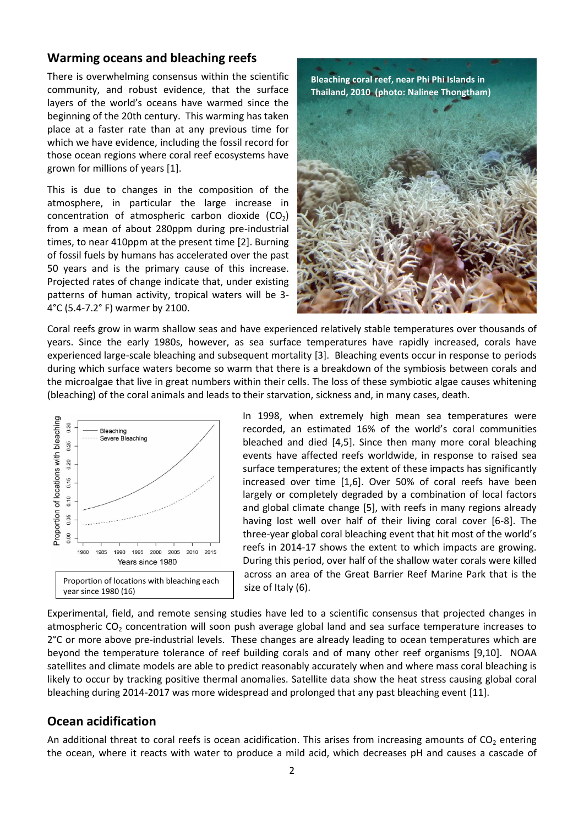## **Warming oceans and bleaching reefs**

There is overwhelming consensus within the scientific community, and robust evidence, that the surface layers of the world's oceans have warmed since the beginning of the 20th century. This warming has taken place at a faster rate than at any previous time for which we have evidence, including the fossil record for those ocean regions where coral reef ecosystems have grown for millions of years [1].

This is due to changes in the composition of the atmosphere, in particular the large increase in concentration of atmospheric carbon dioxide  $(CO_2)$ from a mean of about 280ppm during pre-industrial times, to near 410ppm at the present time [2]. Burning of fossil fuels by humans has accelerated over the past 50 years and is the primary cause of this increase. Projected rates of change indicate that, under existing patterns of human activity, tropical waters will be 3- 4°C (5.4-7.2° F) warmer by 2100.



Coral reefs grow in warm shallow seas and have experienced relatively stable temperatures over thousands of years. Since the early 1980s, however, as sea surface temperatures have rapidly increased, corals have experienced large-scale bleaching and subsequent mortality [3]. Bleaching events occur in response to periods during which surface waters become so warm that there is a breakdown of the symbiosis between corals and the microalgae that live in great numbers within their cells. The loss of these symbiotic algae causes whitening (bleaching) of the coral animals and leads to their starvation, sickness and, in many cases, death.



In 1998, when extremely high mean sea temperatures were recorded, an estimated 16% of the world's coral communities bleached and died [4,5]. Since then many more coral bleaching events have affected reefs worldwide, in response to raised sea surface temperatures; the extent of these impacts has significantly increased over time [1,6]. Over 50% of coral reefs have been largely or completely degraded by a combination of local factors and global climate change [5], with reefs in many regions already having lost well over half of their living coral cover [6-8]. The three-year global coral bleaching event that hit most of the world's reefs in 2014-17 shows the extent to which impacts are growing. During this period, over half of the shallow water corals were killed across an area of the Great Barrier Reef Marine Park that is the size of Italy (6).

Experimental, field, and remote sensing studies have led to a scientific consensus that projected changes in atmospheric  $CO<sub>2</sub>$  concentration will soon push average global land and sea surface temperature increases to 2°C or more above pre-industrial levels. These changes are already leading to ocean temperatures which are beyond the temperature tolerance of reef building corals and of many other reef organisms [9,10]. NOAA satellites and climate models are able to predict reasonably accurately when and where mass coral bleaching is likely to occur by tracking positive thermal anomalies. Satellite data show the heat stress causing global coral bleaching during 2014-2017 was more widespread and prolonged that any past bleaching event [11].

## **Ocean acidification**

An additional threat to coral reefs is ocean acidification. This arises from increasing amounts of  $CO<sub>2</sub>$  entering the ocean, where it reacts with water to produce a mild acid, which decreases pH and causes a cascade of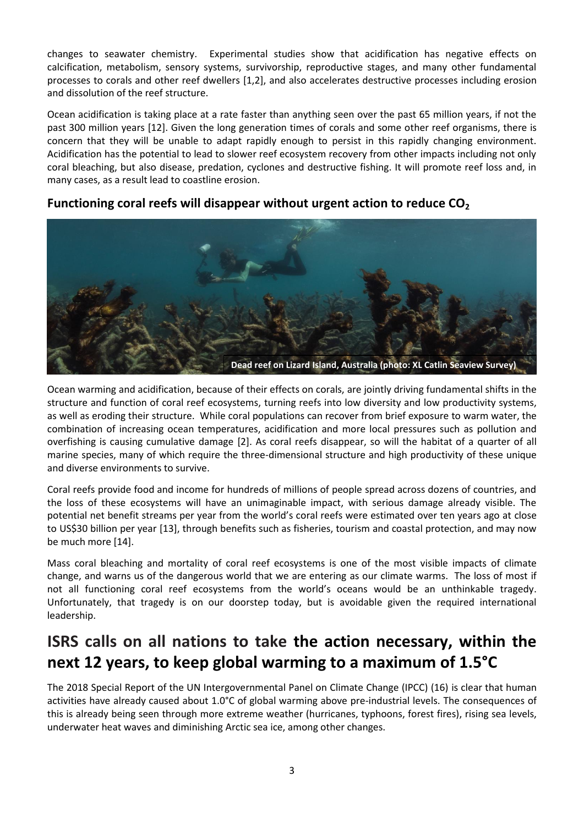changes to seawater chemistry. Experimental studies show that acidification has negative effects on calcification, metabolism, sensory systems, survivorship, reproductive stages, and many other fundamental processes to corals and other reef dwellers [1,2], and also accelerates destructive processes including erosion and dissolution of the reef structure.

Ocean acidification is taking place at a rate faster than anything seen over the past 65 million years, if not the past 300 million years [12]. Given the long generation times of corals and some other reef organisms, there is concern that they will be unable to adapt rapidly enough to persist in this rapidly changing environment. Acidification has the potential to lead to slower reef ecosystem recovery from other impacts including not only coral bleaching, but also disease, predation, cyclones and destructive fishing. It will promote reef loss and, in many cases, as a result lead to coastline erosion.

## **Functioning coral reefs will disappear without urgent action to reduce CO<sup>2</sup>**



Ocean warming and acidification, because of their effects on corals, are jointly driving fundamental shifts in the structure and function of coral reef ecosystems, turning reefs into low diversity and low productivity systems, as well as eroding their structure. While coral populations can recover from brief exposure to warm water, the combination of increasing ocean temperatures, acidification and more local pressures such as pollution and overfishing is causing cumulative damage [2]. As coral reefs disappear, so will the habitat of a quarter of all marine species, many of which require the three-dimensional structure and high productivity of these unique and diverse environments to survive.

Coral reefs provide food and income for hundreds of millions of people spread across dozens of countries, and the loss of these ecosystems will have an unimaginable impact, with serious damage already visible. The potential net benefit streams per year from the world's coral reefs were estimated over ten years ago at close to US\$30 billion per year [13], through benefits such as fisheries, tourism and coastal protection, and may now be much more [14].

Mass coral bleaching and mortality of coral reef ecosystems is one of the most visible impacts of climate change, and warns us of the dangerous world that we are entering as our climate warms. The loss of most if not all functioning coral reef ecosystems from the world's oceans would be an unthinkable tragedy. Unfortunately, that tragedy is on our doorstep today, but is avoidable given the required international leadership.

# **ISRS calls on all nations to take the action necessary, within the next 12 years, to keep global warming to a maximum of 1.5°C**

The 2018 Special Report of the UN Intergovernmental Panel on Climate Change (IPCC) (16) is clear that human activities have already caused about 1.0°C of global warming above pre-industrial levels. The consequences of this is already being seen through more extreme weather (hurricanes, typhoons, forest fires), rising sea levels, underwater heat waves and diminishing Arctic sea ice, among other changes.